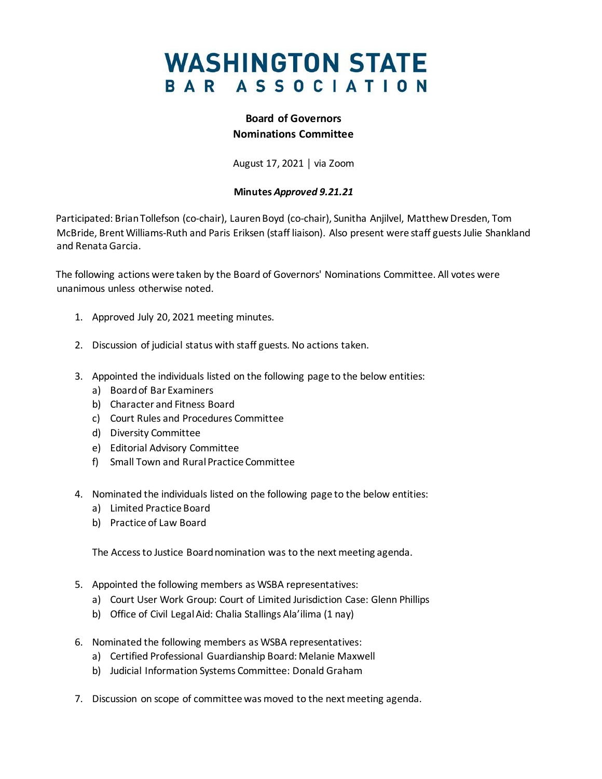## **WASHINGTON STATE** BAR ASSOCIATION

#### **Board of Governors Nominations Committee**

August 17, 2021 │ via Zoom

#### **Minutes** *Approved 9.21.21*

Participated: Brian Tollefson (co-chair), Lauren Boyd (co-chair), Sunitha Anjilvel, Matthew Dresden, Tom McBride, Brent Williams-Ruth and Paris Eriksen (staff liaison). Also present were staff guests Julie Shankland and Renata Garcia.

The following actions were taken by the Board of Governors' Nominations Committee. All votes were unanimous unless otherwise noted.

- 1. Approved July 20, 2021 meeting minutes.
- 2. Discussion of judicial status with staff guests. No actions taken.
- 3. Appointed the individuals listed on the following page to the below entities:
	- a) Board of Bar Examiners
	- b) Character and Fitness Board
	- c) Court Rules and Procedures Committee
	- d) Diversity Committee
	- e) Editorial Advisory Committee
	- f) Small Town and Rural Practice Committee
- 4. Nominated the individuals listed on the following page to the below entities:
	- a) Limited Practice Board
	- b) Practice of Law Board

The Access to Justice Board nomination was to the next meeting agenda.

- 5. Appointed the following members as WSBA representatives:
	- a) Court User Work Group: Court of Limited Jurisdiction Case: Glenn Phillips
	- b) Office of Civil Legal Aid: Chalia Stallings Ala'ilima (1 nay)
- 6. Nominated the following members as WSBA representatives:
	- a) Certified Professional Guardianship Board: Melanie Maxwell
	- b) Judicial Information Systems Committee: Donald Graham
- 7. Discussion on scope of committee was moved to the next meeting agenda.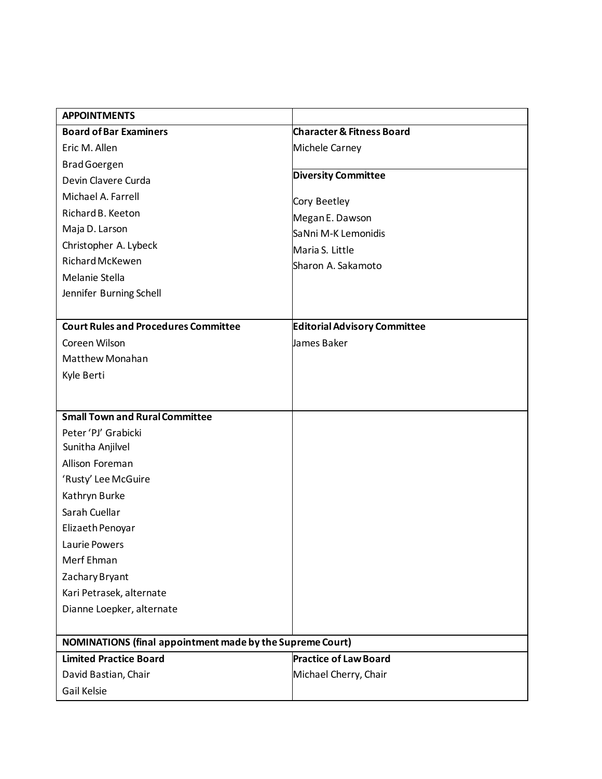| <b>APPOINTMENTS</b>                                              |                                      |
|------------------------------------------------------------------|--------------------------------------|
| <b>Board of Bar Examiners</b>                                    | <b>Character &amp; Fitness Board</b> |
| Eric M. Allen                                                    | Michele Carney                       |
| <b>Brad Goergen</b>                                              |                                      |
| Devin Clavere Curda                                              | <b>Diversity Committee</b>           |
| Michael A. Farrell                                               | Cory Beetley                         |
| Richard B. Keeton                                                | Megan E. Dawson                      |
| Maja D. Larson                                                   | SaNni M-K Lemonidis                  |
| Christopher A. Lybeck                                            | Maria S. Little                      |
| <b>Richard McKewen</b>                                           | Sharon A. Sakamoto                   |
| Melanie Stella                                                   |                                      |
| Jennifer Burning Schell                                          |                                      |
|                                                                  |                                      |
| <b>Court Rules and Procedures Committee</b>                      | <b>Editorial Advisory Committee</b>  |
| Coreen Wilson                                                    | James Baker                          |
| Matthew Monahan                                                  |                                      |
| Kyle Berti                                                       |                                      |
|                                                                  |                                      |
| <b>Small Town and Rural Committee</b>                            |                                      |
| Peter 'PJ' Grabicki                                              |                                      |
| Sunitha Anjilvel                                                 |                                      |
| Allison Foreman                                                  |                                      |
| 'Rusty' Lee McGuire                                              |                                      |
| Kathryn Burke                                                    |                                      |
| Sarah Cuellar                                                    |                                      |
| Elizaeth Penoyar                                                 |                                      |
| Laurie Powers                                                    |                                      |
| Merf Ehman                                                       |                                      |
| Zachary Bryant                                                   |                                      |
| Kari Petrasek, alternate                                         |                                      |
| Dianne Loepker, alternate                                        |                                      |
|                                                                  |                                      |
| <b>NOMINATIONS (final appointment made by the Supreme Court)</b> |                                      |
| <b>Limited Practice Board</b>                                    | <b>Practice of Law Board</b>         |
| David Bastian, Chair                                             | Michael Cherry, Chair                |
| Gail Kelsie                                                      |                                      |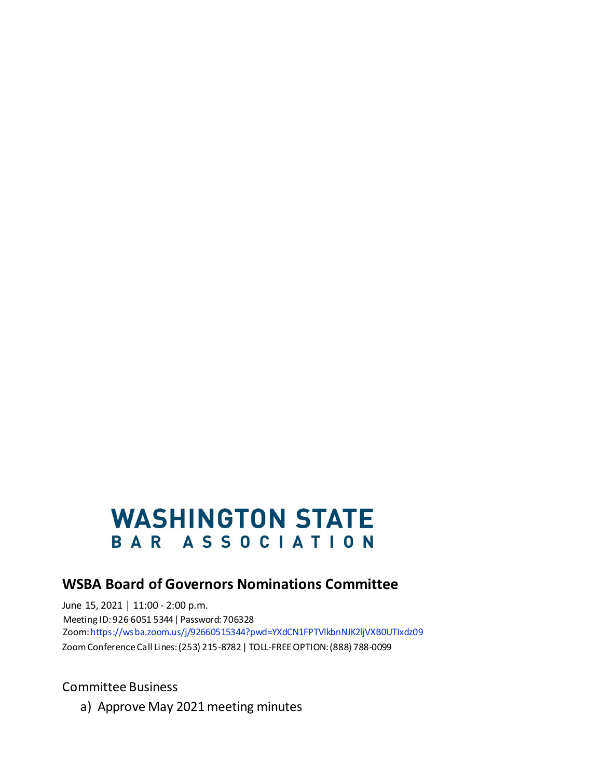# **WASHINGTON STATE** BAR ASSOCIATION

### **WSBA Board of Governors Nominations Committee**

June 15, 2021 | 11:00 - 2:00 p.m. Meeting ID: 926 6051 5344| Password: 706328 Zoom[:https://wsba.zoom.us/j/92660515344?pwd=YXdCN1FPTVlkbnNJK2ljVXB0UTIxdz09](https://wsba.zoom.us/j/92660515344?pwd=YXdCN1FPTVlkbnNJK2ljVXB0UTIxdz09) Zoom Conference Call Lines: (253) 215-8782 | TOLL-FREE OPTION: (888) 788-0099

Committee Business

a) Approve May 2021 meeting minutes